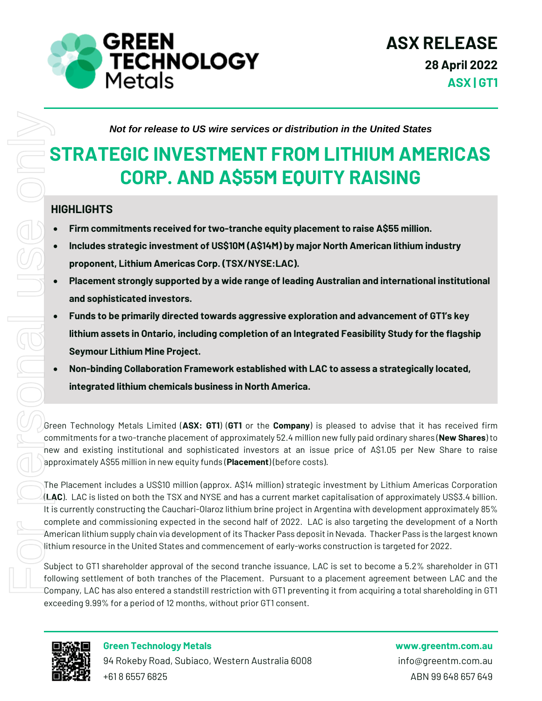

*Not for release to US wire services or distribution in the United States*

## **STRATEGIC INVESTMENT FROM LITHIUM AMERICAS CORP. AND A\$55M EQUITY RAISING**

#### **HIGHLIGHTS**

- **Firm commitments received for two-tranche equity placement to raise A\$55 million.**
- **Includes strategic investment of US\$10M (A\$14M) by major North American lithium industry proponent, Lithium Americas Corp. (TSX/NYSE:LAC).**
- **Placement strongly supported by a wide range of leading Australian and international institutional and sophisticated investors.**
- **Funds to be primarily directed towards aggressive exploration and advancement of GT1's key lithium assets in Ontario, including completion of an Integrated Feasibility Study for the flagship Seymour Lithium Mine Project.**
- **Non-binding Collaboration Framework established with LAC to assess a strategically located, integrated lithium chemicals business in North America.**

Green Technology Metals Limited (**ASX: GT1**) (**GT1** or the **Company**) is pleased to advise that it has received firm commitments for a two-tranche placement of approximately 52.4 million new fully paid ordinary shares (**New Shares**) to new and existing institutional and sophisticated investors at an issue price of A\$1.05 per New Share to raise approximately A\$55 million in new equity funds (**Placement**) (before costs).

The Placement includes a US\$10 million (approx. A\$14 million) strategic investment by Lithium Americas Corporation (**LAC**). LAC is listed on both the TSX and NYSE and has a current market capitalisation of approximately US\$3.4 billion. It is currently constructing the Cauchari-Olaroz lithium brine project in Argentina with development approximately 85% complete and commissioning expected in the second half of 2022. LAC is also targeting the development of a North American lithium supply chain via development of its Thacker Pass depositin Nevada. Thacker Pass is the largest known lithium resource in the United States and commencement of early-works construction is targeted for 2022.

Subject to GT1 shareholder approval of the second tranche issuance, LAC is set to become a 5.2% shareholder in GT1 following settlement of both tranches of the Placement. Pursuant to a placement agreement between LAC and the Company, LAC has also entered a standstill restriction with GT1 preventing it from acquiring a total shareholding in GT1 exceeding 9.99% for a period of 12 months, without prior GT1 consent.



**Green Technology Metals www.greentm.com.au** 94 Rokeby Road, Subiaco, Western Australia 6008 info@greentm.com.au +61 8 6557 6825 ABN 99 648 657 649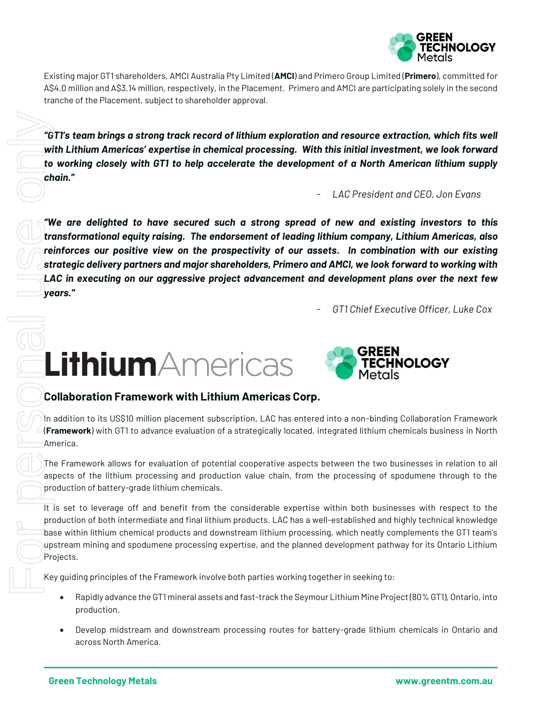

Existing major GT1 shareholders, AMCI Australia Pty Limited (**AMCI**) and Primero Group Limited (**Primero**), committed for A\$4.0 million and A\$3.14 million, respectively, in the Placement. Primero and AMCI are participating solely in the second tranche of the Placement, subject to shareholder approval.

*"GT1's team brings a strong track record of lithium exploration and resource extraction, which fits well with Lithium Americas' expertise in chemical processing. With this initial investment, we look forward to working closely with GT1 to help accelerate the development of a North American lithium supply chain."*

- *LAC President and CEO, Jon Evans*

*"We are delighted to have secured such a strong spread of new and existing investors to this transformational equity raising. The endorsement of leading lithium company, Lithium Americas, also reinforces our positive view on the prospectivity of our assets. In combination with our existing strategic delivery partners and major shareholders, Primero and AMCI, we look forward to working with LAC in executing on our aggressive project advancement and development plans over the next few years."*

- *GT1 Chief Executive Officer, Luke Cox*

# **Lithium**Americas



#### **Collaboration Framework with Lithium Americas Corp.**

In addition to its US\$10 million placement subscription, LAC has entered into a non-binding Collaboration Framework (**Framework**) with GT1 to advance evaluation of a strategically located, integrated lithium chemicals business in North America.

The Framework allows for evaluation of potential cooperative aspects between the two businesses in relation to all aspects of the lithium processing and production value chain, from the processing of spodumene through to the production of battery-grade lithium chemicals.

It is set to leverage off and benefit from the considerable expertise within both businesses with respect to the production of both intermediate and final lithium products. LAC has a well-established and highly technical knowledge base within lithium chemical products and downstream lithium processing, which neatly complements the GT1 team's upstream mining and spodumene processing expertise, and the planned development pathway for its Ontario Lithium Projects.

Key guiding principles of the Framework involve both parties working together in seeking to:

- Rapidly advance the GT1 mineral assets and fast-track the Seymour Lithium Mine Project (80% GT1), Ontario, into production.
- Develop midstream and downstream processing routes for battery-grade lithium chemicals in Ontario and across North America.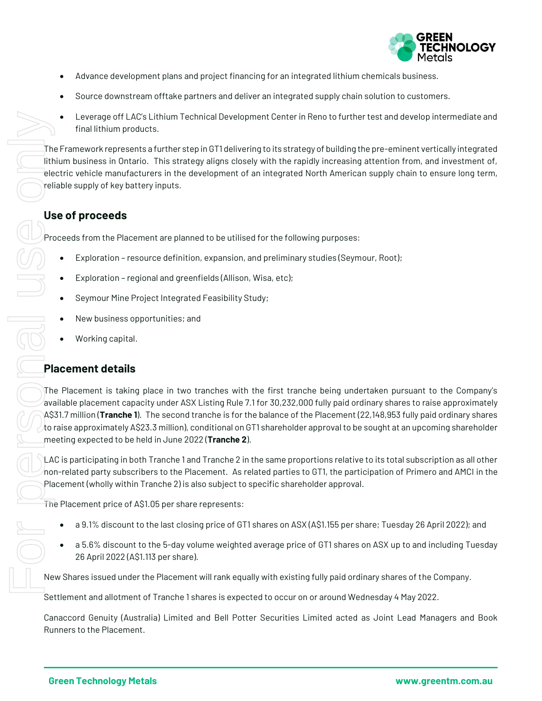

- Advance development plans and project financing for an integrated lithium chemicals business.
- Source downstream offtake partners and deliver an integrated supply chain solution to customers.
- Leverage off LAC's Lithium Technical Development Center in Reno to further test and develop intermediate and final lithium products.

The Framework represents a further step in GT1 delivering to its strategy of building the pre-eminent vertically integrated lithium business in Ontario. This strategy aligns closely with the rapidly increasing attention from, and investment of, electric vehicle manufacturers in the development of an integrated North American supply chain to ensure long term, reliable supply of key battery inputs.

#### **Use of proceeds**

Proceeds from the Placement are planned to be utilised for the following purposes:

- Exploration resource definition, expansion, and preliminary studies (Seymour, Root);
- Exploration regional and greenfields (Allison, Wisa, etc);
- Seymour Mine Project Integrated Feasibility Study;
- New business opportunities; and
- Working capital.

#### **Placement details**

The Placement is taking place in two tranches with the first tranche being undertaken pursuant to the Company's available placement capacity under ASX Listing Rule 7.1 for 30,232,000 fully paid ordinary shares to raise approximately A\$31.7 million (**Tranche 1**). The second tranche is for the balance of the Placement (22,148,953 fully paid ordinary shares to raise approximately A\$23.3 million), conditional on GT1 shareholder approval to be sought at an upcoming shareholder meeting expected to be held in June 2022 (**Tranche 2**).

LAC is participating in both Tranche 1 and Tranche 2 in the same proportions relative to its total subscription as all other non-related party subscribers to the Placement. As related parties to GT1, the participation of Primero and AMCI in the Placement (wholly within Tranche 2) is also subject to specific shareholder approval.

The Placement price of A\$1.05 per share represents:

- a 9.1% discount to the last closing price of GT1 shares on ASX (A\$1.155 per share; Tuesday 26 April 2022); and
- a 5.6% discount to the 5-day volume weighted average price of GT1 shares on ASX up to and including Tuesday 26 April 2022 (A\$1.113 per share).

New Shares issued under the Placement will rank equally with existing fully paid ordinary shares of the Company.

Settlement and allotment of Tranche 1 shares is expected to occur on or around Wednesday 4 May 2022.

Canaccord Genuity (Australia) Limited and Bell Potter Securities Limited acted as Joint Lead Managers and Book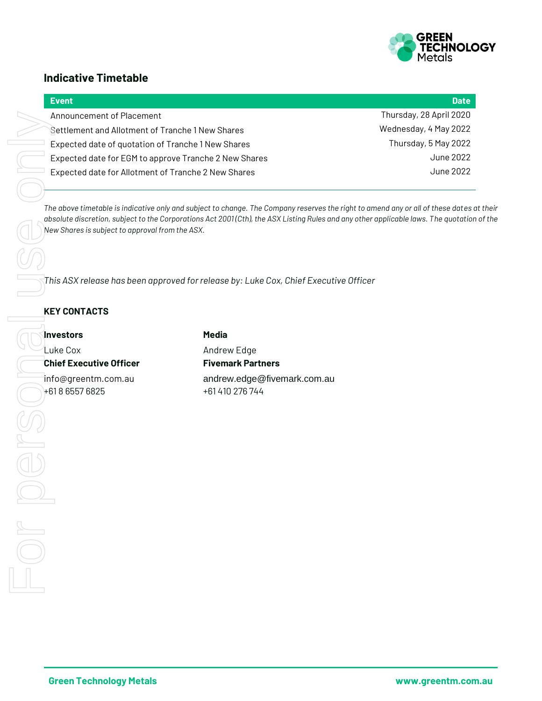

#### **Indicative Timetable**

| <b>Event</b>                                          | <b>Date</b>             |
|-------------------------------------------------------|-------------------------|
| Announcement of Placement                             | Thursday, 28 April 2020 |
| Settlement and Allotment of Tranche 1 New Shares      | Wednesday, 4 May 2022   |
| Expected date of quotation of Tranche 1 New Shares    | Thursday, 5 May 2022    |
| Expected date for EGM to approve Tranche 2 New Shares | June 2022               |
| Expected date for Allotment of Tranche 2 New Shares   | June 2022               |
|                                                       |                         |

*The above timetable is indicative only and subject to change. The Company reserves the right to amend any or all of these dates at their absolute discretion, subject to the Corporations Act 2001 (Cth), the ASX Listing Rules and any other applicable laws. The quotation of the New Shares is subject to approval from the ASX.*

*This ASX release has been approved for release by: Luke Cox, Chief Executive Officer*

#### **KEY CONTACTS**

**Investors Media** Luke Cox **Andrew Edge Chief Executive Officer Fivemark Partners**<br>
info@greentm.com.au **andrew.edge@five**<br>
+61 410 276 744

info@greentm.com.au andrew.edge@fivemark.com.au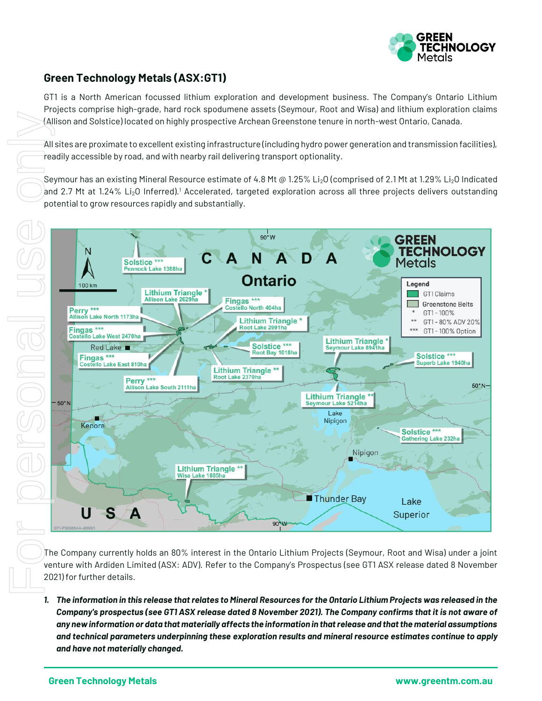

#### **Green Technology Metals (ASX:GT1)**

GT1 is a North American focussed lithium exploration and development business. The Company's Ontario Lithium Projects comprise high-grade, hard rock spodumene assets (Seymour, Root and Wisa) and lithium exploration claims (Allison and Solstice) located on highly prospective Archean Greenstone tenure in north-west Ontario, Canada.

All sites are proximate to excellent existing infrastructure (including hydro power generation and transmission facilities), readily accessible by road, and with nearby rail delivering transport optionality.

Seymour has an existing Mineral Resource estimate of 4.8 Mt @ 1.25% Li<sub>2</sub>O (comprised of 2.1 Mt at 1.29% Li<sub>2</sub>O Indicated and 2.7 Mt at 1.24% Li<sub>2</sub>O Inferred).<sup>1</sup> Accelerated, targeted exploration across all three projects delivers outstanding potential to grow resources rapidly and substantially.



The Company currently holds an 80% interest in the Ontario Lithium Projects (Seymour, Root and Wisa) under a joint venture with Ardiden Limited (ASX: ADV). Refer to the Company's Prospectus (see GT1 ASX release dated 8 November 2021) for further details.

*1. The information in this release that relates to Mineral Resources for the Ontario Lithium Projects was released in the Company's prospectus (see GT1 ASX release dated 8 November 2021). The Company confirms that it is not aware of any new information or data that materially affects the information in that release and that the material assumptions and technical parameters underpinning these exploration results and mineral resource estimates continue to apply and have not materially changed.*